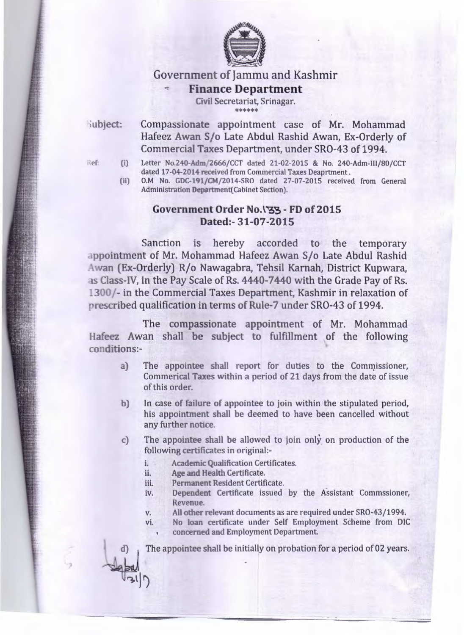

Government of Jammu and Kashmir

## **.-:- Finance Department**

Civil Secretariat, Srinagar. \*\*\*\*\*\*

iubject:

Compassionate appointment case of Mr. Mohammad Hafeez Awan S/o Late Abdul Rashid Awan, Ex-Orderly of Commercial Taxes Department, under SRO-43 of 1994.

- $Ref:$  (i) Letter No.240-Adm/2666/CCT dated 21-02-2015 & No. 240-Adm-III/80/CCT dated 17-04-2014 received from Commercial Taxes Deaprtment.
	- 0.M No. *GDC-191/CM/2014-SRO* dated 27-07-2015 received from General Administration Department(Cabinet Section). (ii)

## **Government Order No. \"S3 - FD of 2015 Dated:- 31-07-2015**

Sanction is hereby accorded to the temporary appointment of Mr. Mohammad Hafeez Awan S/o Late Abdul Rashid Awan (Ex-Orderly) R/o Nawagabra, Tehsil Karnah, District Kupwara, as Class-IV, in the Pay Scale of Rs. 4440-7440 with the Grade Pay of Rs. 1300/- in the Commercial Taxes Department, Kashmir in relaxation of prescribed qualification in terms of Rule-7 under SRO-43 of 1994.

The compassionate appointment of Mr. Mohammad Hafeez Awan shall be subject to fulfillment of the following conditions:-

- a) The appointee shall report for duties to the Commissioner, Commerical Taxes within a period of 21 days from the date of issue of this order.
- b) In case of failure of appointee to join within the stipulated period, his appointment shall be deemed to have been cancelled without any further notice.
- c) The appointee shall be allowed to join only on production of the following certificates in original:
	- i. Academic Qualification Certificates.
	- ii. Age and Health Certificate.
	- iii. Permanent Resident Certificate.
	- iv. Dependent Certificate issued by the Assistant Commssioner, Revenue.
	- v. All other relevant documents as are required under SRO-43/1994.

vi. No loan certificate under Self Employment Scheme from DIC concerned and Employment Department.

The appointee shall be initially on probation for a period of 02 years.